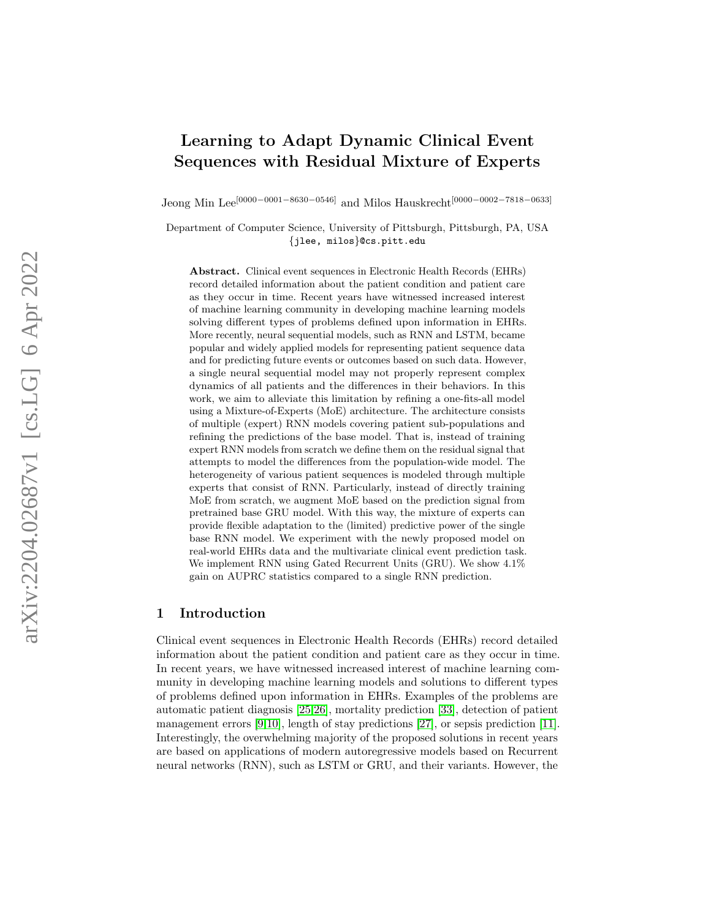# Learning to Adapt Dynamic Clinical Event Sequences with Residual Mixture of Experts

Jeong Min Lee<sup>[0000–0001–8630–0546]</sup> and Milos Hauskrecht<sup>[0000–0002–7818–0633]</sup>

Department of Computer Science, University of Pittsburgh, Pittsburgh, PA, USA {jlee, milos}@cs.pitt.edu

Abstract. Clinical event sequences in Electronic Health Records (EHRs) record detailed information about the patient condition and patient care as they occur in time. Recent years have witnessed increased interest of machine learning community in developing machine learning models solving different types of problems defined upon information in EHRs. More recently, neural sequential models, such as RNN and LSTM, became popular and widely applied models for representing patient sequence data and for predicting future events or outcomes based on such data. However, a single neural sequential model may not properly represent complex dynamics of all patients and the differences in their behaviors. In this work, we aim to alleviate this limitation by refining a one-fits-all model using a Mixture-of-Experts (MoE) architecture. The architecture consists of multiple (expert) RNN models covering patient sub-populations and refining the predictions of the base model. That is, instead of training expert RNN models from scratch we define them on the residual signal that attempts to model the differences from the population-wide model. The heterogeneity of various patient sequences is modeled through multiple experts that consist of RNN. Particularly, instead of directly training MoE from scratch, we augment MoE based on the prediction signal from pretrained base GRU model. With this way, the mixture of experts can provide flexible adaptation to the (limited) predictive power of the single base RNN model. We experiment with the newly proposed model on real-world EHRs data and the multivariate clinical event prediction task. We implement RNN using Gated Recurrent Units (GRU). We show 4.1% gain on AUPRC statistics compared to a single RNN prediction.

# 1 Introduction

Clinical event sequences in Electronic Health Records (EHRs) record detailed information about the patient condition and patient care as they occur in time. In recent years, we have witnessed increased interest of machine learning community in developing machine learning models and solutions to different types of problems defined upon information in EHRs. Examples of the problems are automatic patient diagnosis [\[25](#page-9-0) [,26\]](#page-9-1), mortality prediction [\[33\]](#page-10-0), detection of patient management errors [[9](#page-9-2)[,10\]](#page-9-3), length of stay predictions [\[27\]](#page-9-4), or sepsis prediction [\[11\]](#page-9-5). Interestingly, the overwhelming majority of the proposed solutions in recent years are based on applications of modern autoregressive models based on Recurrent neural networks (RNN), such as LSTM or GRU, and their variants. However, the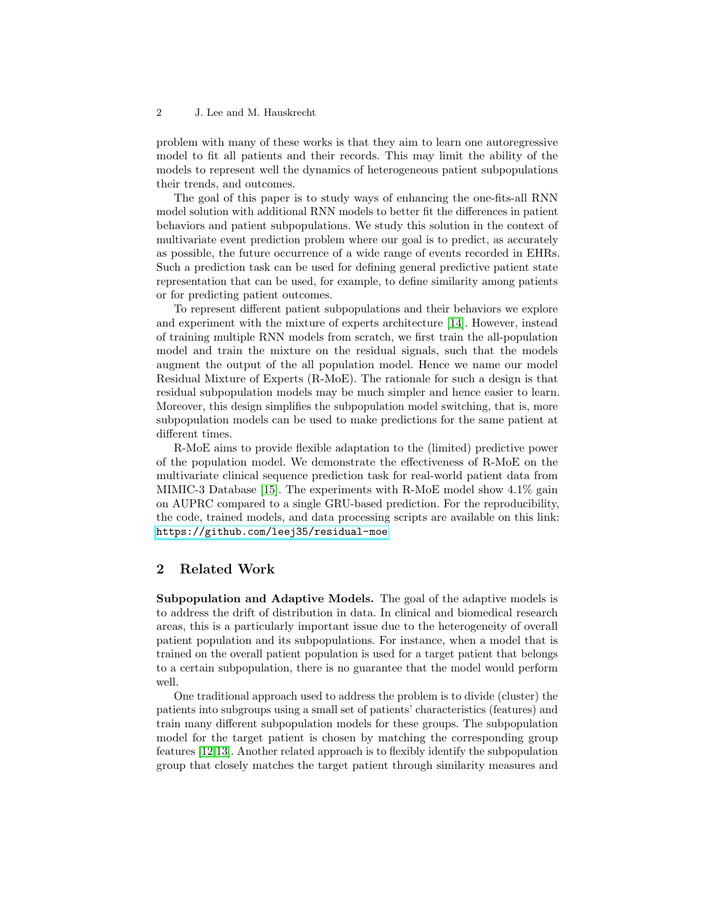problem with many of these works is that they aim to learn one autoregressive model to fit all patients and their records. This may limit the ability of the models to represent well the dynamics of heterogeneous patient subpopulations their trends, and outcomes.

The goal of this paper is to study ways of enhancing the one-fits-all RNN model solution with additional RNN models to better fit the differences in patient behaviors and patient subpopulations. We study this solution in the context of multivariate event prediction problem where our goal is to predict, as accurately as possible, the future occurrence of a wide range of events recorded in EHRs. Such a prediction task can be used for defining general predictive patient state representation that can be used, for example, to define similarity among patients or for predicting patient outcomes.

To represent different patient subpopulations and their behaviors we explore and experiment with the mixture of experts architecture [\[14\]](#page-9-6). However, instead of training multiple RNN models from scratch, we first train the all-population model and train the mixture on the residual signals, such that the models augment the output of the all population model. Hence we name our model Residual Mixture of Experts (R-MoE). The rationale for such a design is that residual subpopulation models may be much simpler and hence easier to learn. Moreover, this design simplifies the subpopulation model switching, that is, more subpopulation models can be used to make predictions for the same patient at different times.

R-MoE aims to provide flexible adaptation to the (limited) predictive power of the population model. We demonstrate the effectiveness of R-MoE on the multivariate clinical sequence prediction task for real-world patient data from MIMIC-3 Database [\[15\]](#page-9-7). The experiments with R-MoE model show 4.1% gain on AUPRC compared to a single GRU-based prediction. For the reproducibility, the code, trained models, and data processing scripts are available on this link: <https://github.com/leej35/residual-moe>

# 2 Related Work

Subpopulation and Adaptive Models. The goal of the adaptive models is to address the drift of distribution in data. In clinical and biomedical research areas, this is a particularly important issue due to the heterogeneity of overall patient population and its subpopulations. For instance, when a model that is trained on the overall patient population is used for a target patient that belongs to a certain subpopulation, there is no guarantee that the model would perform well.

One traditional approach used to address the problem is to divide (cluster) the patients into subgroups using a small set of patients' characteristics (features) and train many different subpopulation models for these groups. The subpopulation model for the target patient is chosen by matching the corresponding group features [\[12](#page-9-8)[,13\]](#page-9-9). Another related approach is to flexibly identify the subpopulation group that closely matches the target patient through similarity measures and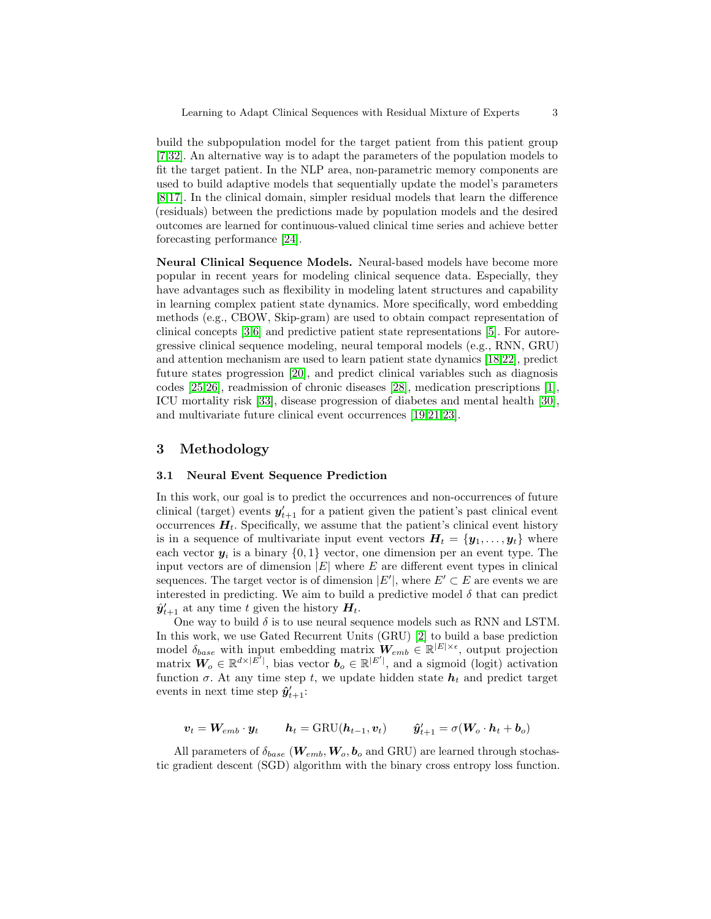build the subpopulation model for the target patient from this patient group [\[7](#page-8-0)[,32\]](#page-10-1). An alternative way is to adapt the parameters of the population models to fit the target patient. In the NLP area, non-parametric memory components are used to build adaptive models that sequentially update the model's parameters [\[8,](#page-9-10)[17\]](#page-9-11). In the clinical domain, simpler residual models that learn the difference (residuals) between the predictions made by population models and the desired outcomes are learned for continuous-valued clinical time series and achieve better forecasting performance [\[24\]](#page-9-12).

Neural Clinical Sequence Models. Neural-based models have become more popular in recent years for modeling clinical sequence data. Especially, they have advantages such as flexibility in modeling latent structures and capability in learning complex patient state dynamics. More specifically, word embedding methods (e.g., CBOW, Skip-gram) are used to obtain compact representation of clinical concepts [\[3](#page-8-1)[,6\]](#page-8-2) and predictive patient state representations [\[5\]](#page-8-3). For autoregressive clinical sequence modeling, neural temporal models (e.g., RNN, GRU) and attention mechanism are used to learn patient state dynamics [\[18,](#page-9-13)[22\]](#page-9-14), predict future states progression [\[20\]](#page-9-15), and predict clinical variables such as diagnosis codes [\[25,](#page-9-0)[26\]](#page-9-1), readmission of chronic diseases [\[28\]](#page-9-16), medication prescriptions [\[1\]](#page-8-4), ICU mortality risk [\[33\]](#page-10-0), disease progression of diabetes and mental health [\[30\]](#page-9-17), and multivariate future clinical event occurrences [\[19,](#page-9-18)[21,](#page-9-19)[23\]](#page-9-20).

# 3 Methodology

# <span id="page-2-0"></span>3.1 Neural Event Sequence Prediction

In this work, our goal is to predict the occurrences and non-occurrences of future clinical (target) events  $y'_{t+1}$  for a patient given the patient's past clinical event occurrences  $H_t$ . Specifically, we assume that the patient's clinical event history is in a sequence of multivariate input event vectors  $H_t = \{y_1, \ldots, y_t\}$  where each vector  $y_i$  is a binary  $\{0,1\}$  vector, one dimension per an event type. The input vectors are of dimension  $|E|$  where E are different event types in clinical sequences. The target vector is of dimension  $|E'|$ , where  $E' \subset E$  are events we are interested in predicting. We aim to build a predictive model  $\delta$  that can predict  $\hat{y}'_{t+1}$  at any time t given the history  $H_t$ .

One way to build  $\delta$  is to use neural sequence models such as RNN and LSTM. In this work, we use Gated Recurrent Units (GRU) [\[2\]](#page-8-5) to build a base prediction model  $\delta_{base}$  with input embedding matrix  $W_{emb} \in \mathbb{R}^{|E| \times \epsilon}$ , output projection matrix  $\mathbf{W}_o \in \mathbb{R}^{d \times |E'|\}$ , bias vector  $\mathbf{b}_o \in \mathbb{R}^{|E'|}\$ , and a sigmoid (logit) activation function  $\sigma$ . At any time step t, we update hidden state  $h_t$  and predict target events in next time step  $\hat{\mathbf{y}}'_{t+1}$ :

$$
\boldsymbol{v}_t = \boldsymbol{W}_{emb} \cdot \boldsymbol{y}_t \qquad \boldsymbol{h}_t = \text{GRU}(\boldsymbol{h}_{t-1}, \boldsymbol{v}_t) \qquad \hat{\boldsymbol{y}}'_{t+1} = \sigma(\boldsymbol{W}_o \cdot \boldsymbol{h}_t + \boldsymbol{b}_o)
$$

All parameters of  $\delta_{base}$  ( $W_{emb}$ ,  $W_o$ ,  $b_o$  and GRU) are learned through stochastic gradient descent (SGD) algorithm with the binary cross entropy loss function.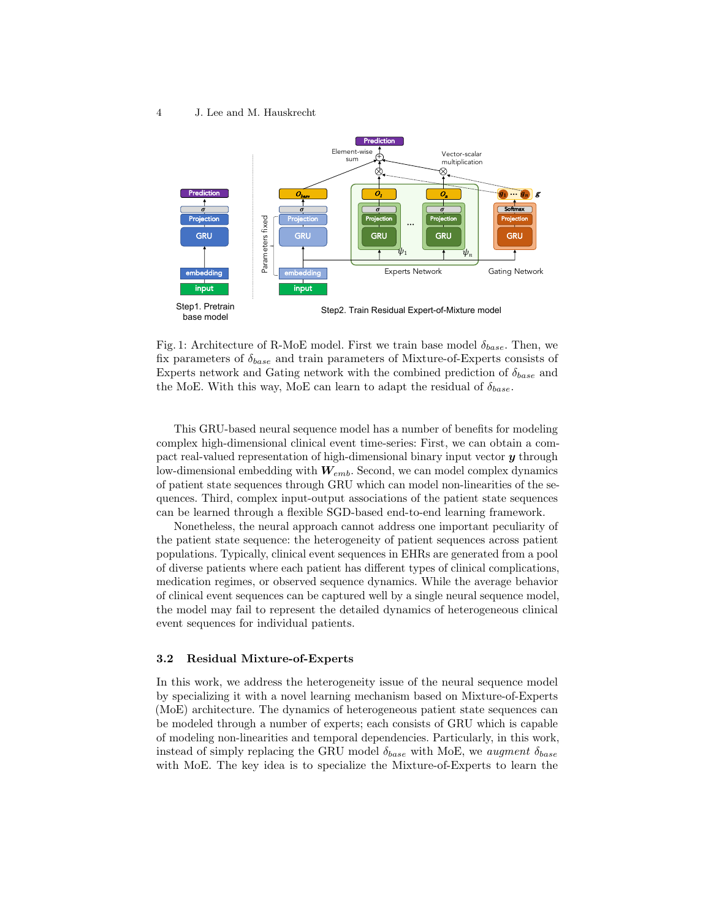<span id="page-3-0"></span>

Fig. 1: Architecture of R-MoE model. First we train base model  $\delta_{base}$ . Then, we fix parameters of  $\delta_{base}$  and train parameters of Mixture-of-Experts consists of Experts network and Gating network with the combined prediction of  $\delta_{base}$  and the MoE. With this way, MoE can learn to adapt the residual of  $\delta_{base}$ .

This GRU-based neural sequence model has a number of benefits for modeling complex high-dimensional clinical event time-series: First, we can obtain a compact real-valued representation of high-dimensional binary input vector  $\boldsymbol{y}$  through low-dimensional embedding with  $W_{emb}$ . Second, we can model complex dynamics of patient state sequences through GRU which can model non-linearities of the sequences. Third, complex input-output associations of the patient state sequences can be learned through a flexible SGD-based end-to-end learning framework.

Nonetheless, the neural approach cannot address one important peculiarity of the patient state sequence: the heterogeneity of patient sequences across patient populations. Typically, clinical event sequences in EHRs are generated from a pool of diverse patients where each patient has different types of clinical complications, medication regimes, or observed sequence dynamics. While the average behavior of clinical event sequences can be captured well by a single neural sequence model, the model may fail to represent the detailed dynamics of heterogeneous clinical event sequences for individual patients.

# 3.2 Residual Mixture-of-Experts

In this work, we address the heterogeneity issue of the neural sequence model by specializing it with a novel learning mechanism based on Mixture-of-Experts (MoE) architecture. The dynamics of heterogeneous patient state sequences can be modeled through a number of experts; each consists of GRU which is capable of modeling non-linearities and temporal dependencies. Particularly, in this work, instead of simply replacing the GRU model  $\delta_{base}$  with MoE, we augment  $\delta_{base}$ with MoE. The key idea is to specialize the Mixture-of-Experts to learn the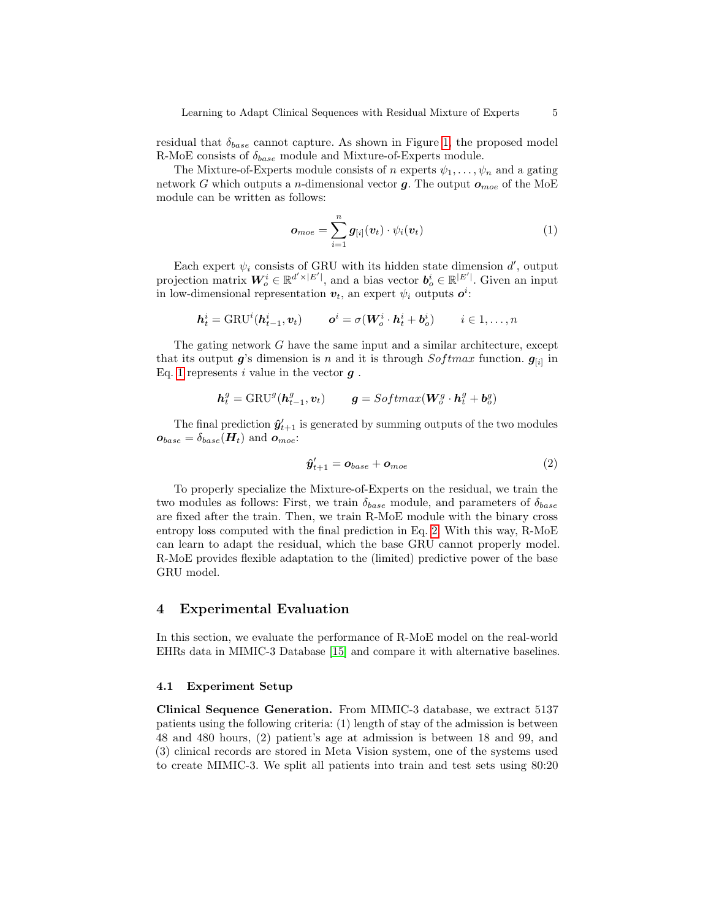residual that  $\delta_{base}$  cannot capture. As shown in Figure [1,](#page-3-0) the proposed model R-MoE consists of  $\delta_{base}$  module and Mixture-of-Experts module.

The Mixture-of-Experts module consists of n experts  $\psi_1, \ldots, \psi_n$  and a gating network G which outputs a *n*-dimensional vector  $g$ . The output  $o_{\text{moe}}$  of the MoE module can be written as follows:

<span id="page-4-0"></span>
$$
\boldsymbol{o}_{moe} = \sum_{i=1}^{n} \boldsymbol{g}_{[i]}(\boldsymbol{v}_t) \cdot \psi_i(\boldsymbol{v}_t)
$$
(1)

Each expert  $\psi_i$  consists of GRU with its hidden state dimension  $d'$ , output projection matrix  $W_o^i \in \mathbb{R}^{d' \times |E'|}$ , and a bias vector  $b_o^i \in \mathbb{R}^{|E'|}$ . Given an input in low-dimensional representation  $v_t$ , an expert  $\psi_i$  outputs  $o^i$ :

$$
\boldsymbol{h}_t^i = \text{GRU}^i(\boldsymbol{h}_{t-1}^i, \boldsymbol{v}_t) \qquad \boldsymbol{o}^i = \sigma(\boldsymbol{W}_o^i \cdot \boldsymbol{h}_t^i + \boldsymbol{b}_o^i) \qquad i \in 1, \dots, n
$$

The gating network G have the same input and a similar architecture, except that its output  $g$ 's dimension is n and it is through  $Softmax$  function.  $g_{[i]}$  in Eq. [1](#page-4-0) represents i value in the vector  $g$ .

$$
\boldsymbol{h}^g_t = \text{GRU}^g(\boldsymbol{h}^g_{t-1}, \boldsymbol{v}_t) \qquad \boldsymbol{g} = \text{Softmax}(\boldsymbol{W}^g_{o} \cdot \boldsymbol{h}^g_{t} + \boldsymbol{b}^g_{o})
$$

The final prediction  $\hat{\mathbf{y}}'_{t+1}$  is generated by summing outputs of the two modules  $\boldsymbol{o}_{base} = \delta_{base}(\boldsymbol{H}_t)$  and  $\boldsymbol{o}_{moe}$ :

<span id="page-4-1"></span>
$$
\hat{\boldsymbol{y}}_{t+1}^{\prime} = \boldsymbol{o}_{base} + \boldsymbol{o}_{moe}
$$
 (2)

To properly specialize the Mixture-of-Experts on the residual, we train the two modules as follows: First, we train  $\delta_{base}$  module, and parameters of  $\delta_{base}$ are fixed after the train. Then, we train R-MoE module with the binary cross entropy loss computed with the final prediction in Eq. [2.](#page-4-1) With this way, R-MoE can learn to adapt the residual, which the base GRU cannot properly model. R-MoE provides flexible adaptation to the (limited) predictive power of the base GRU model.

## 4 Experimental Evaluation

In this section, we evaluate the performance of R-MoE model on the real-world EHRs data in MIMIC-3 Database [\[15\]](#page-9-7) and compare it with alternative baselines.

#### <span id="page-4-2"></span>4.1 Experiment Setup

Clinical Sequence Generation. From MIMIC-3 database, we extract 5137 patients using the following criteria: (1) length of stay of the admission is between 48 and 480 hours, (2) patient's age at admission is between 18 and 99, and (3) clinical records are stored in Meta Vision system, one of the systems used to create MIMIC-3. We split all patients into train and test sets using 80:20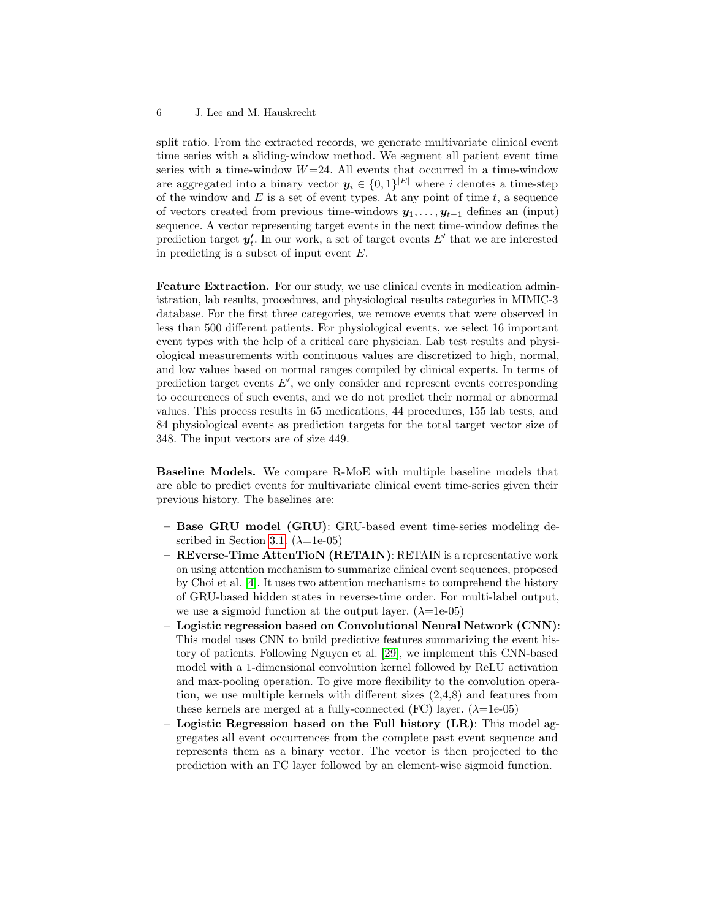split ratio. From the extracted records, we generate multivariate clinical event time series with a sliding-window method. We segment all patient event time series with a time-window  $W=24$ . All events that occurred in a time-window are aggregated into a binary vector  $y_i \in \{0,1\}^{|E|}$  where i denotes a time-step of the window and  $E$  is a set of event types. At any point of time  $t$ , a sequence of vectors created from previous time-windows  $y_1, \ldots, y_{t-1}$  defines an (input) sequence. A vector representing target events in the next time-window defines the prediction target  $y'_t$ . In our work, a set of target events  $E'$  that we are interested in predicting is a subset of input event  $E$ .

Feature Extraction. For our study, we use clinical events in medication administration, lab results, procedures, and physiological results categories in MIMIC-3 database. For the first three categories, we remove events that were observed in less than 500 different patients. For physiological events, we select 16 important event types with the help of a critical care physician. Lab test results and physiological measurements with continuous values are discretized to high, normal, and low values based on normal ranges compiled by clinical experts. In terms of prediction target events  $E'$ , we only consider and represent events corresponding to occurrences of such events, and we do not predict their normal or abnormal values. This process results in 65 medications, 44 procedures, 155 lab tests, and 84 physiological events as prediction targets for the total target vector size of 348. The input vectors are of size 449.

Baseline Models. We compare R-MoE with multiple baseline models that are able to predict events for multivariate clinical event time-series given their previous history. The baselines are:

- Base GRU model (GRU): GRU-based event time-series modeling de-scribed in Section [3.1.](#page-2-0)  $(\lambda=1e-05)$
- REverse-Time AttenTioN (RETAIN): RETAIN is a representative work on using attention mechanism to summarize clinical event sequences, proposed by Choi et al. [\[4\]](#page-8-6). It uses two attention mechanisms to comprehend the history of GRU-based hidden states in reverse-time order. For multi-label output, we use a sigmoid function at the output layer.  $(\lambda=1e^{-0.5})$
- Logistic regression based on Convolutional Neural Network (CNN): This model uses CNN to build predictive features summarizing the event history of patients. Following Nguyen et al. [\[29\]](#page-9-21), we implement this CNN-based model with a 1-dimensional convolution kernel followed by ReLU activation and max-pooling operation. To give more flexibility to the convolution operation, we use multiple kernels with different sizes (2,4,8) and features from these kernels are merged at a fully-connected (FC) layer.  $(\lambda=1e-05)$
- Logistic Regression based on the Full history  $(LR)$ : This model aggregates all event occurrences from the complete past event sequence and represents them as a binary vector. The vector is then projected to the prediction with an FC layer followed by an element-wise sigmoid function.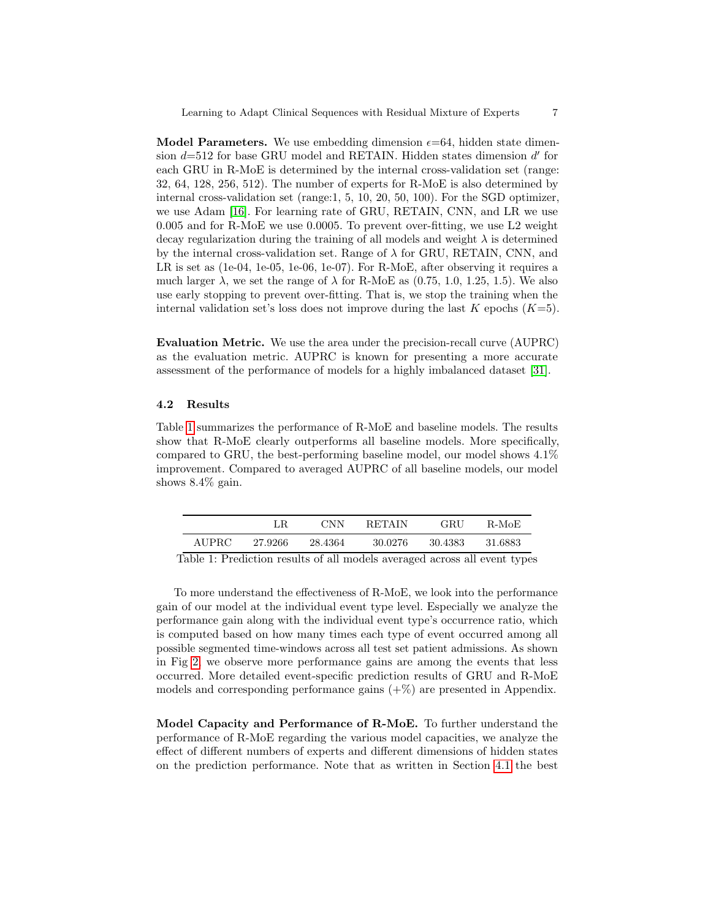**Model Parameters.** We use embedding dimension  $\epsilon$ =64, hidden state dimension  $d=512$  for base GRU model and RETAIN. Hidden states dimension  $d'$  for each GRU in R-MoE is determined by the internal cross-validation set (range: 32, 64, 128, 256, 512). The number of experts for R-MoE is also determined by internal cross-validation set (range:1, 5, 10, 20, 50, 100). For the SGD optimizer, we use Adam [\[16\]](#page-9-22). For learning rate of GRU, RETAIN, CNN, and LR we use 0.005 and for R-MoE we use 0.0005. To prevent over-fitting, we use L2 weight decay regularization during the training of all models and weight  $\lambda$  is determined by the internal cross-validation set. Range of  $\lambda$  for GRU, RETAIN, CNN, and LR is set as (1e-04, 1e-05, 1e-06, 1e-07). For R-MoE, after observing it requires a much larger  $\lambda$ , we set the range of  $\lambda$  for R-MoE as (0.75, 1.0, 1.25, 1.5). We also use early stopping to prevent over-fitting. That is, we stop the training when the internal validation set's loss does not improve during the last K epochs  $(K=5)$ .

Evaluation Metric. We use the area under the precision-recall curve (AUPRC) as the evaluation metric. AUPRC is known for presenting a more accurate assessment of the performance of models for a highly imbalanced dataset [\[31\]](#page-9-23).

# 4.2 Results

Table [1](#page-6-0) summarizes the performance of R-MoE and baseline models. The results show that R-MoE clearly outperforms all baseline models. More specifically, compared to GRU, the best-performing baseline model, our model shows 4.1% improvement. Compared to averaged AUPRC of all baseline models, our model shows 8.4% gain.

<span id="page-6-0"></span>

|       |         | <b>CNN</b> | RETAIN   | GRU      | - R-MoE   |
|-------|---------|------------|----------|----------|-----------|
| AUPRC | 27.9266 | 28.4364    | -30.0276 | -30.4383 | - 31.6883 |

Table 1: Prediction results of all models averaged across all event types

To more understand the effectiveness of R-MoE, we look into the performance gain of our model at the individual event type level. Especially we analyze the performance gain along with the individual event type's occurrence ratio, which is computed based on how many times each type of event occurred among all possible segmented time-windows across all test set patient admissions. As shown in Fig [2,](#page-7-0) we observe more performance gains are among the events that less occurred. More detailed event-specific prediction results of GRU and R-MoE models and corresponding performance gains  $(+\%)$  are presented in Appendix.

Model Capacity and Performance of R-MoE. To further understand the performance of R-MoE regarding the various model capacities, we analyze the effect of different numbers of experts and different dimensions of hidden states on the prediction performance. Note that as written in Section [4.1](#page-4-2) the best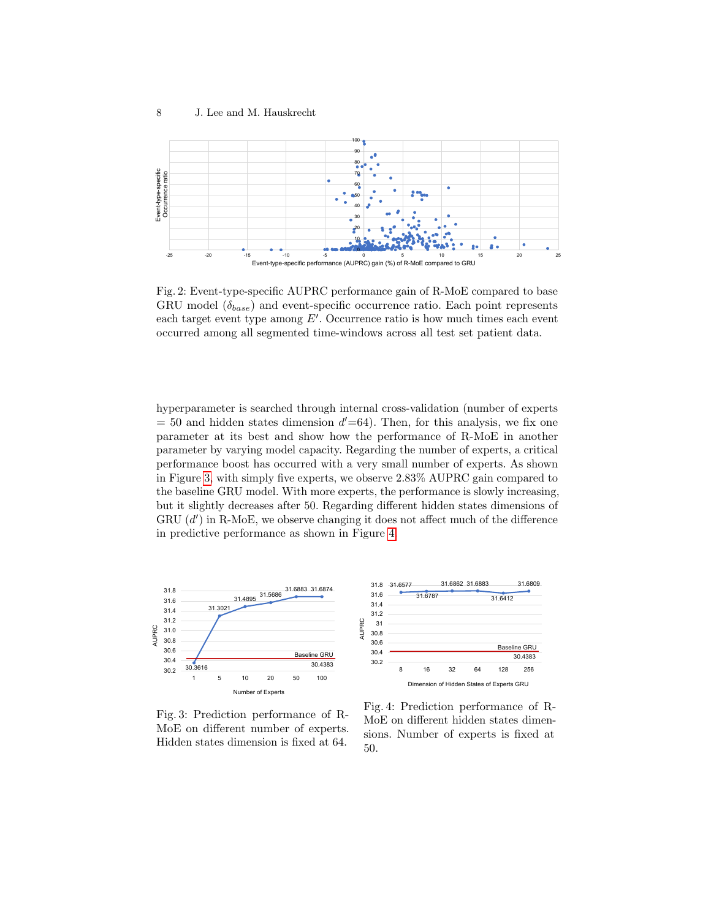<span id="page-7-0"></span>

Fig. 2: Event-type-specific AUPRC performance gain of R-MoE compared to base GRU model  $(\delta_{base})$  and event-specific occurrence ratio. Each point represents each target event type among  $E'$ . Occurrence ratio is how much times each event occurred among all segmented time-windows across all test set patient data.

hyperparameter is searched through internal cross-validation (number of experts  $= 50$  and hidden states dimension  $d' = 64$ ). Then, for this analysis, we fix one parameter at its best and show how the performance of R-MoE in another parameter by varying model capacity. Regarding the number of experts, a critical performance boost has occurred with a very small number of experts. As shown in Figure [3,](#page-7-1) with simply five experts, we observe 2.83% AUPRC gain compared to the baseline GRU model. With more experts, the performance is slowly increasing, but it slightly decreases after 50. Regarding different hidden states dimensions of GRU  $(d')$  in R-MoE, we observe changing it does not affect much of the difference in predictive performance as shown in Figure [4.](#page-7-1)

<span id="page-7-1"></span>

Fig. 3: Prediction performance of R-MoE on different number of experts. Hidden states dimension is fixed at 64.

Fig. 4: Prediction performance of R-MoE on different hidden states dimensions. Number of experts is fixed at 50.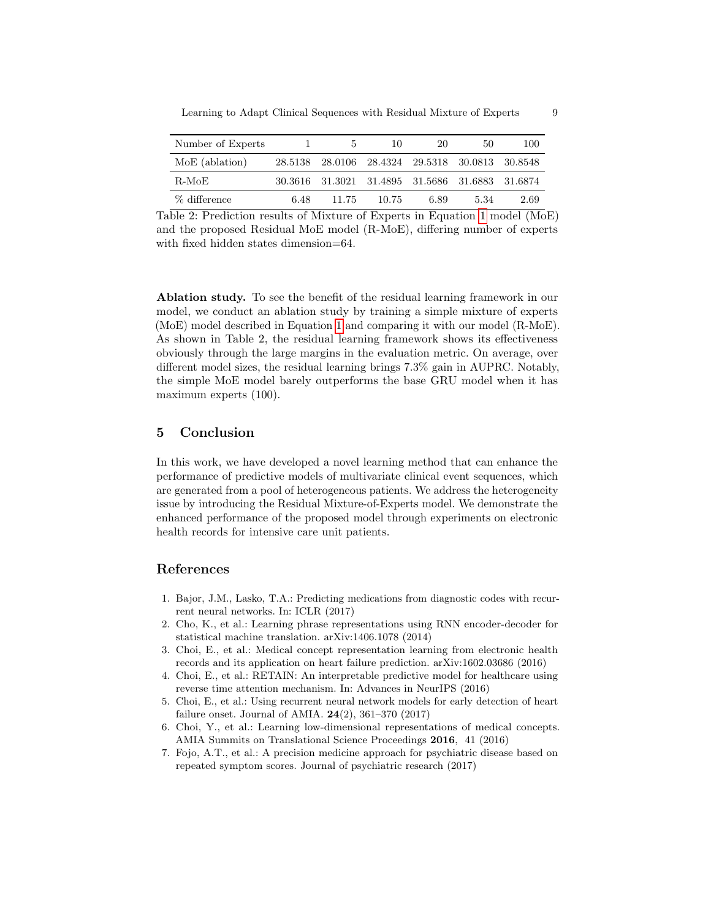| Number of Experts |      | 5     | 10                                              | 20   | 50   | 100  |
|-------------------|------|-------|-------------------------------------------------|------|------|------|
| MoE (ablation)    |      |       | 28.5138 28.0106 28.4324 29.5318 30.0813 30.8548 |      |      |      |
| -R-MoE            |      |       | 30.3616 31.3021 31.4895 31.5686 31.6883 31.6874 |      |      |      |
| % difference      | 6.48 | 11.75 | 10.75                                           | 6.89 | 5.34 | 2.69 |

Table 2: Prediction results of Mixture of Experts in Equation [1](#page-4-0) model  $(MoE)$ and the proposed Residual MoE model (R-MoE), differing number of experts with fixed hidden states dimension=64.

Ablation study. To see the benefit of the residual learning framework in our model, we conduct an ablation study by training a simple mixture of experts (MoE) model described in Equation [1](#page-4-0) and comparing it with our model (R-MoE). As shown in Table 2, the residual learning framework shows its effectiveness obviously through the large margins in the evaluation metric. On average, over different model sizes, the residual learning brings 7.3% gain in AUPRC. Notably, the simple MoE model barely outperforms the base GRU model when it has maximum experts (100).

# 5 Conclusion

In this work, we have developed a novel learning method that can enhance the performance of predictive models of multivariate clinical event sequences, which are generated from a pool of heterogeneous patients. We address the heterogeneity issue by introducing the Residual Mixture-of-Experts model. We demonstrate the enhanced performance of the proposed model through experiments on electronic health records for intensive care unit patients.

# References

- <span id="page-8-4"></span>1. Bajor, J.M., Lasko, T.A.: Predicting medications from diagnostic codes with recurrent neural networks. In: ICLR (2017)
- <span id="page-8-5"></span>2. Cho, K., et al.: Learning phrase representations using RNN encoder-decoder for statistical machine translation. arXiv:1406.1078 (2014)
- <span id="page-8-1"></span>3. Choi, E., et al.: Medical concept representation learning from electronic health records and its application on heart failure prediction. arXiv:1602.03686 (2016)
- <span id="page-8-6"></span>4. Choi, E., et al.: RETAIN: An interpretable predictive model for healthcare using reverse time attention mechanism. In: Advances in NeurIPS (2016)
- <span id="page-8-3"></span>5. Choi, E., et al.: Using recurrent neural network models for early detection of heart failure onset. Journal of AMIA. 24(2), 361–370 (2017)
- <span id="page-8-2"></span>6. Choi, Y., et al.: Learning low-dimensional representations of medical concepts. AMIA Summits on Translational Science Proceedings 2016, 41 (2016)
- <span id="page-8-0"></span>7. Fojo, A.T., et al.: A precision medicine approach for psychiatric disease based on repeated symptom scores. Journal of psychiatric research (2017)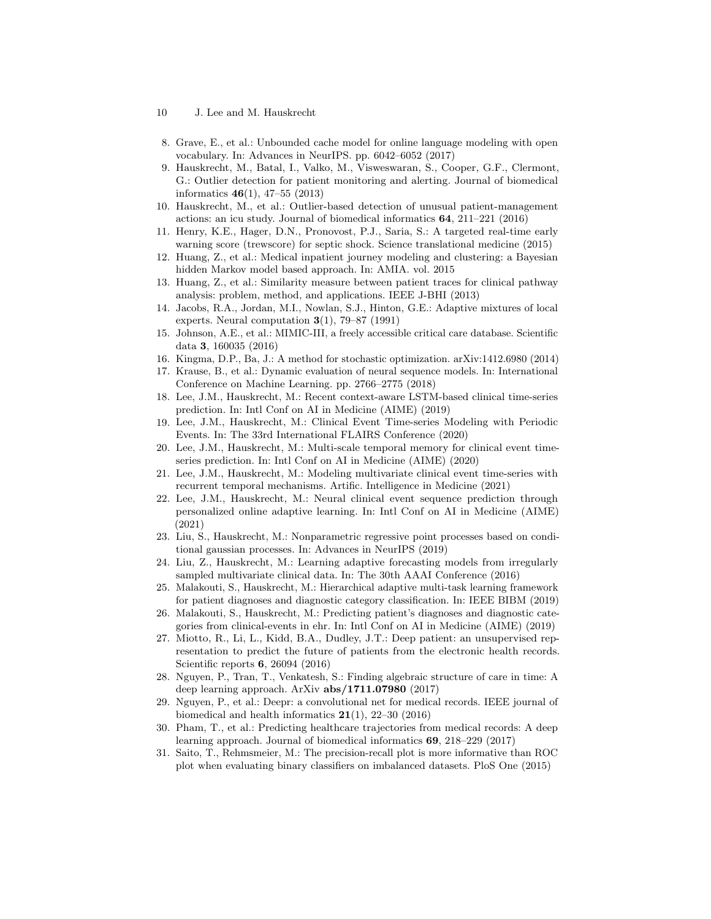- 10 J. Lee and M. Hauskrecht
- <span id="page-9-10"></span>8. Grave, E., et al.: Unbounded cache model for online language modeling with open vocabulary. In: Advances in NeurIPS. pp. 6042–6052 (2017)
- <span id="page-9-2"></span>9. Hauskrecht, M., Batal, I., Valko, M., Visweswaran, S., Cooper, G.F., Clermont, G.: Outlier detection for patient monitoring and alerting. Journal of biomedical informatics 46(1), 47–55 (2013)
- <span id="page-9-3"></span>10. Hauskrecht, M., et al.: Outlier-based detection of unusual patient-management actions: an icu study. Journal of biomedical informatics 64, 211–221 (2016)
- <span id="page-9-5"></span>11. Henry, K.E., Hager, D.N., Pronovost, P.J., Saria, S.: A targeted real-time early warning score (trewscore) for septic shock. Science translational medicine (2015)
- <span id="page-9-8"></span>12. Huang, Z., et al.: Medical inpatient journey modeling and clustering: a Bayesian hidden Markov model based approach. In: AMIA. vol. 2015
- <span id="page-9-9"></span>13. Huang, Z., et al.: Similarity measure between patient traces for clinical pathway analysis: problem, method, and applications. IEEE J-BHI (2013)
- <span id="page-9-6"></span>14. Jacobs, R.A., Jordan, M.I., Nowlan, S.J., Hinton, G.E.: Adaptive mixtures of local experts. Neural computation  $3(1)$ , 79–87 (1991)
- <span id="page-9-7"></span>15. Johnson, A.E., et al.: MIMIC-III, a freely accessible critical care database. Scientific data 3, 160035 (2016)
- <span id="page-9-22"></span>16. Kingma, D.P., Ba, J.: A method for stochastic optimization. arXiv:1412.6980 (2014)
- <span id="page-9-11"></span>17. Krause, B., et al.: Dynamic evaluation of neural sequence models. In: International Conference on Machine Learning. pp. 2766–2775 (2018)
- <span id="page-9-13"></span>18. Lee, J.M., Hauskrecht, M.: Recent context-aware LSTM-based clinical time-series prediction. In: Intl Conf on AI in Medicine (AIME) (2019)
- <span id="page-9-18"></span>19. Lee, J.M., Hauskrecht, M.: Clinical Event Time-series Modeling with Periodic Events. In: The 33rd International FLAIRS Conference (2020)
- <span id="page-9-15"></span>20. Lee, J.M., Hauskrecht, M.: Multi-scale temporal memory for clinical event timeseries prediction. In: Intl Conf on AI in Medicine (AIME) (2020)
- <span id="page-9-19"></span>21. Lee, J.M., Hauskrecht, M.: Modeling multivariate clinical event time-series with recurrent temporal mechanisms. Artific. Intelligence in Medicine (2021)
- <span id="page-9-14"></span>22. Lee, J.M., Hauskrecht, M.: Neural clinical event sequence prediction through personalized online adaptive learning. In: Intl Conf on AI in Medicine (AIME) (2021)
- <span id="page-9-20"></span>23. Liu, S., Hauskrecht, M.: Nonparametric regressive point processes based on conditional gaussian processes. In: Advances in NeurIPS (2019)
- <span id="page-9-12"></span>24. Liu, Z., Hauskrecht, M.: Learning adaptive forecasting models from irregularly sampled multivariate clinical data. In: The 30th AAAI Conference (2016)
- <span id="page-9-0"></span>25. Malakouti, S., Hauskrecht, M.: Hierarchical adaptive multi-task learning framework for patient diagnoses and diagnostic category classification. In: IEEE BIBM (2019)
- <span id="page-9-1"></span>26. Malakouti, S., Hauskrecht, M.: Predicting patient's diagnoses and diagnostic categories from clinical-events in ehr. In: Intl Conf on AI in Medicine (AIME) (2019)
- <span id="page-9-4"></span>27. Miotto, R., Li, L., Kidd, B.A., Dudley, J.T.: Deep patient: an unsupervised representation to predict the future of patients from the electronic health records. Scientific reports 6, 26094 (2016)
- <span id="page-9-16"></span>28. Nguyen, P., Tran, T., Venkatesh, S.: Finding algebraic structure of care in time: A deep learning approach. ArXiv abs/1711.07980 (2017)
- <span id="page-9-21"></span>29. Nguyen, P., et al.: Deepr: a convolutional net for medical records. IEEE journal of biomedical and health informatics  $21(1)$ ,  $22-30(2016)$
- <span id="page-9-17"></span>30. Pham, T., et al.: Predicting healthcare trajectories from medical records: A deep learning approach. Journal of biomedical informatics 69, 218–229 (2017)
- <span id="page-9-23"></span>31. Saito, T., Rehmsmeier, M.: The precision-recall plot is more informative than ROC plot when evaluating binary classifiers on imbalanced datasets. PloS One (2015)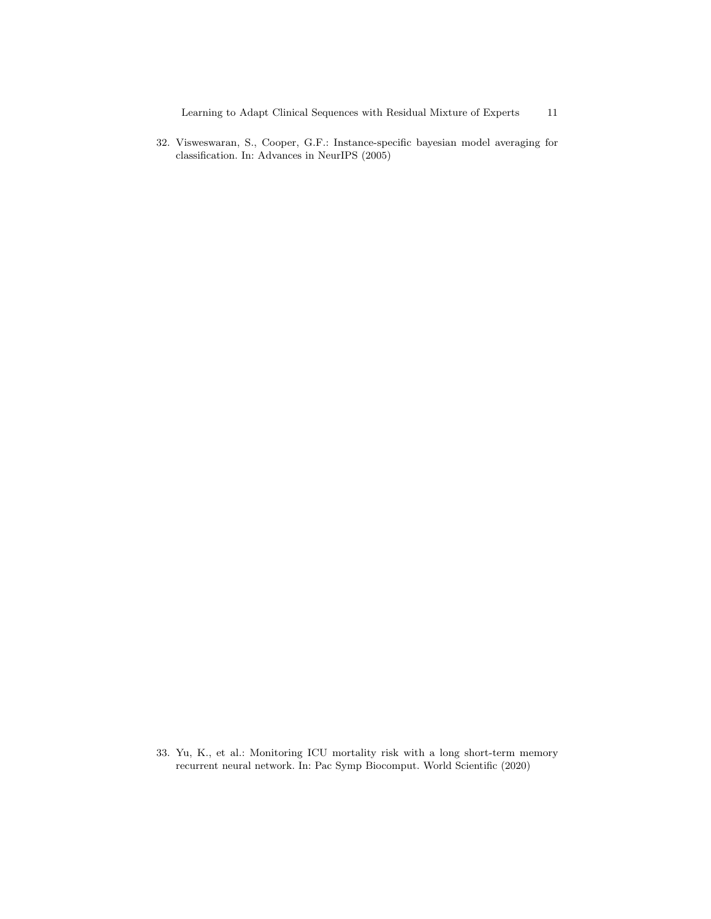<span id="page-10-1"></span><span id="page-10-0"></span>32. Visweswaran, S., Cooper, G.F.: Instance-specific bayesian model averaging for classification. In: Advances in NeurIPS (2005)

33. Yu, K., et al.: Monitoring ICU mortality risk with a long short-term memory recurrent neural network. In: Pac Symp Biocomput. World Scientific (2020)